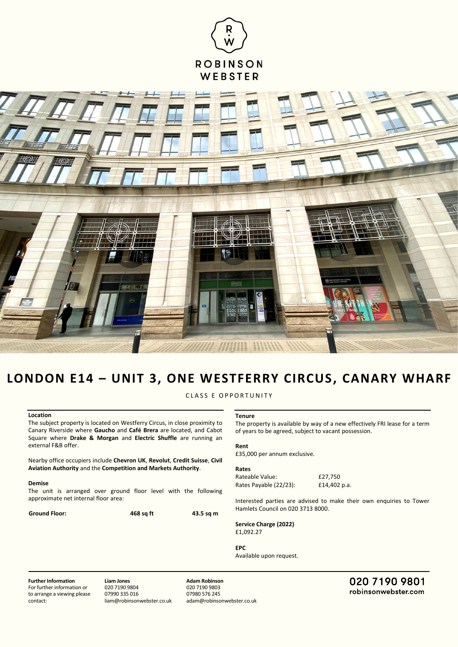



# **LONDON E14 – UNIT 3, ONE WESTFERRY CIRCUS, CANARY WHARF**

CLASS E OPPORTUNITY

## **Location**

The subject property is located on Westferry Circus, in close proximity to Canary Riverside where **Gaucho** and **Café Brera** are located, and Cabot Square where **Drake & Morgan** and **Electric Shuffle** are running an external F&B offer.

Nearby office occupiers include **Chevron UK**, **Revolut**, **Credit Suisse**, **Civil Aviation Authority** and the **Competition and Markets Authority**.

#### **Demise**

The unit is arranged over ground floor level with the following approximate net internal floor area:

**Ground Floor: 468 sq ft 43.5 sq m**

## **Tenure**

The property is available by way of a new effectively FRI lease for a term of years to be agreed, subject to vacant possession.

#### **Rent**

£35,000 per annum exclusive.

#### **Rates**

Rateable Value: £27,750 Rates Payable (22/23): £14,402 p.a.

Interested parties are advised to make their own enquiries to Tower Hamlets Council on 020 3713 8000.

**Service Charge (2022)** £1,092.27

### **EPC**

Available upon request.

**Further Information** For further information or to arrange a viewing please contact:

**Liam Jones** 020 7190 9804 07990 335 016 liam@robinsonwebster.co.uk

**Adam Robinson** 020 7190 9803 07980 576 245 adam@robinsonwebster.co.uk 020 7190 9801 robinsonwebster.com